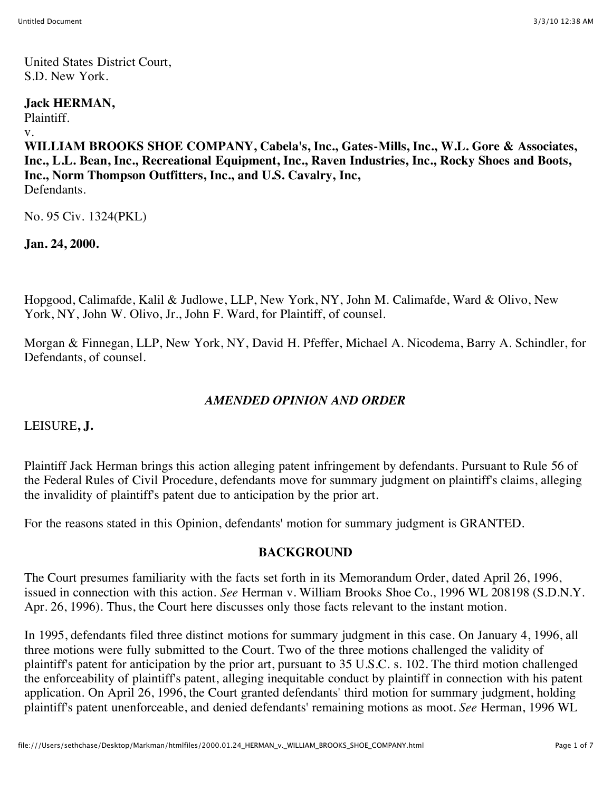United States District Court, S.D. New York.

### **Jack HERMAN,**

Plaintiff.

#### v.

**WILLIAM BROOKS SHOE COMPANY, Cabela's, Inc., Gates-Mills, Inc., W.L. Gore & Associates, Inc., L.L. Bean, Inc., Recreational Equipment, Inc., Raven Industries, Inc., Rocky Shoes and Boots, Inc., Norm Thompson Outfitters, Inc., and U.S. Cavalry, Inc, Defendants** 

No. 95 Civ. 1324(PKL)

**Jan. 24, 2000.**

Hopgood, Calimafde, Kalil & Judlowe, LLP, New York, NY, John M. Calimafde, Ward & Olivo, New York, NY, John W. Olivo, Jr., John F. Ward, for Plaintiff, of counsel.

Morgan & Finnegan, LLP, New York, NY, David H. Pfeffer, Michael A. Nicodema, Barry A. Schindler, for Defendants, of counsel.

## *AMENDED OPINION AND ORDER*

LEISURE**, J.**

Plaintiff Jack Herman brings this action alleging patent infringement by defendants. Pursuant to Rule 56 of the Federal Rules of Civil Procedure, defendants move for summary judgment on plaintiff's claims, alleging the invalidity of plaintiff's patent due to anticipation by the prior art.

For the reasons stated in this Opinion, defendants' motion for summary judgment is GRANTED.

## **BACKGROUND**

The Court presumes familiarity with the facts set forth in its Memorandum Order, dated April 26, 1996, issued in connection with this action. *See* Herman v. William Brooks Shoe Co., 1996 WL 208198 (S.D.N.Y. Apr. 26, 1996). Thus, the Court here discusses only those facts relevant to the instant motion.

In 1995, defendants filed three distinct motions for summary judgment in this case. On January 4, 1996, all three motions were fully submitted to the Court. Two of the three motions challenged the validity of plaintiff's patent for anticipation by the prior art, pursuant to 35 U.S.C. s. 102. The third motion challenged the enforceability of plaintiff's patent, alleging inequitable conduct by plaintiff in connection with his patent application. On April 26, 1996, the Court granted defendants' third motion for summary judgment, holding plaintiff's patent unenforceable, and denied defendants' remaining motions as moot. *See* Herman, 1996 WL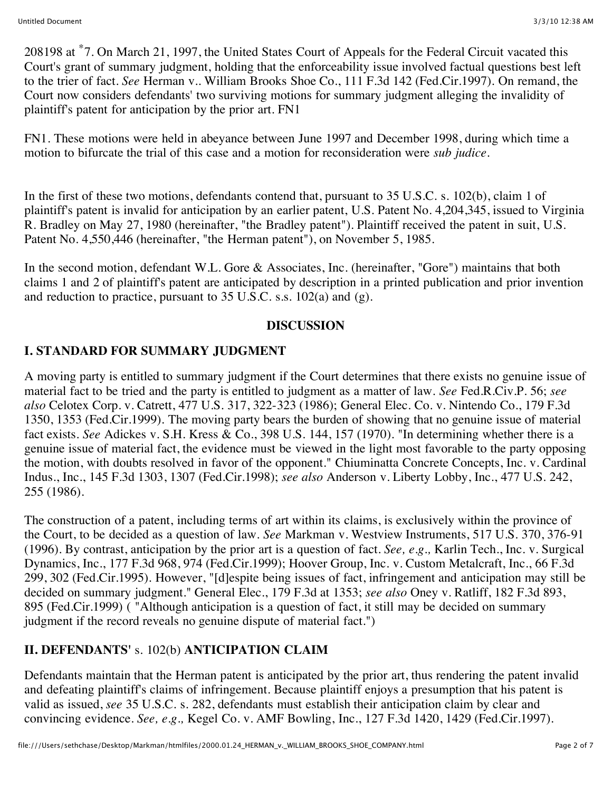208198 at \*7. On March 21, 1997, the United States Court of Appeals for the Federal Circuit vacated this Court's grant of summary judgment, holding that the enforceability issue involved factual questions best left to the trier of fact. *See* Herman v.. William Brooks Shoe Co., 111 F.3d 142 (Fed.Cir.1997). On remand, the Court now considers defendants' two surviving motions for summary judgment alleging the invalidity of plaintiff's patent for anticipation by the prior art. FN1

FN1. These motions were held in abeyance between June 1997 and December 1998, during which time a motion to bifurcate the trial of this case and a motion for reconsideration were *sub judice.*

In the first of these two motions, defendants contend that, pursuant to 35 U.S.C. s. 102(b), claim 1 of plaintiff's patent is invalid for anticipation by an earlier patent, U.S. Patent No. 4,204,345, issued to Virginia R. Bradley on May 27, 1980 (hereinafter, "the Bradley patent"). Plaintiff received the patent in suit, U.S. Patent No. 4,550,446 (hereinafter, "the Herman patent"), on November 5, 1985.

In the second motion, defendant W.L. Gore & Associates, Inc. (hereinafter, "Gore") maintains that both claims 1 and 2 of plaintiff's patent are anticipated by description in a printed publication and prior invention and reduction to practice, pursuant to  $35 \text{ U.S.C. s.s. } 102(a)$  and (g).

### **DISCUSSION**

# **I. STANDARD FOR SUMMARY JUDGMENT**

A moving party is entitled to summary judgment if the Court determines that there exists no genuine issue of material fact to be tried and the party is entitled to judgment as a matter of law. *See* Fed.R.Civ.P. 56; *see also* Celotex Corp. v. Catrett, 477 U.S. 317, 322-323 (1986); General Elec. Co. v. Nintendo Co., 179 F.3d 1350, 1353 (Fed.Cir.1999). The moving party bears the burden of showing that no genuine issue of material fact exists. *See* Adickes v. S.H. Kress & Co., 398 U.S. 144, 157 (1970). "In determining whether there is a genuine issue of material fact, the evidence must be viewed in the light most favorable to the party opposing the motion, with doubts resolved in favor of the opponent." Chiuminatta Concrete Concepts, Inc. v. Cardinal Indus., Inc., 145 F.3d 1303, 1307 (Fed.Cir.1998); *see also* Anderson v. Liberty Lobby, Inc., 477 U.S. 242, 255 (1986).

The construction of a patent, including terms of art within its claims, is exclusively within the province of the Court, to be decided as a question of law. *See* Markman v. Westview Instruments, 517 U.S. 370, 376-91 (1996). By contrast, anticipation by the prior art is a question of fact. *See, e.g.,* Karlin Tech., Inc. v. Surgical Dynamics, Inc., 177 F.3d 968, 974 (Fed.Cir.1999); Hoover Group, Inc. v. Custom Metalcraft, Inc., 66 F.3d 299, 302 (Fed.Cir.1995). However, "[d]espite being issues of fact, infringement and anticipation may still be decided on summary judgment." General Elec., 179 F.3d at 1353; *see also* Oney v. Ratliff, 182 F.3d 893, 895 (Fed.Cir.1999) ( "Although anticipation is a question of fact, it still may be decided on summary judgment if the record reveals no genuine dispute of material fact.")

## **II. DEFENDANTS'** s. 102(b) **ANTICIPATION CLAIM**

Defendants maintain that the Herman patent is anticipated by the prior art, thus rendering the patent invalid and defeating plaintiff's claims of infringement. Because plaintiff enjoys a presumption that his patent is valid as issued, *see* 35 U.S.C. s. 282, defendants must establish their anticipation claim by clear and convincing evidence. *See, e.g.,* Kegel Co. v. AMF Bowling, Inc., 127 F.3d 1420, 1429 (Fed.Cir.1997).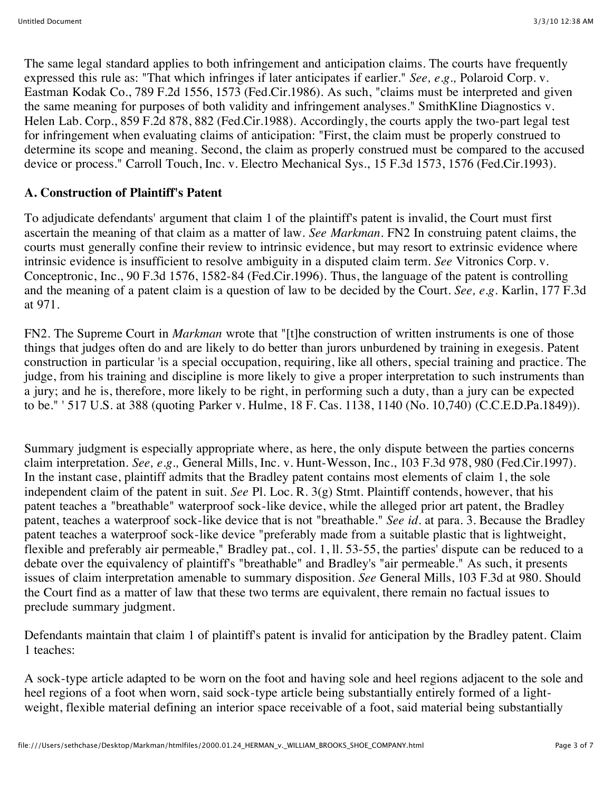The same legal standard applies to both infringement and anticipation claims. The courts have frequently expressed this rule as: "That which infringes if later anticipates if earlier." *See, e.g.,* Polaroid Corp. v. Eastman Kodak Co., 789 F.2d 1556, 1573 (Fed.Cir.1986). As such, "claims must be interpreted and given the same meaning for purposes of both validity and infringement analyses." SmithKline Diagnostics v. Helen Lab. Corp., 859 F.2d 878, 882 (Fed.Cir.1988). Accordingly, the courts apply the two-part legal test for infringement when evaluating claims of anticipation: "First, the claim must be properly construed to determine its scope and meaning. Second, the claim as properly construed must be compared to the accused device or process." Carroll Touch, Inc. v. Electro Mechanical Sys., 15 F.3d 1573, 1576 (Fed.Cir.1993).

## **A. Construction of Plaintiff's Patent**

To adjudicate defendants' argument that claim 1 of the plaintiff's patent is invalid, the Court must first ascertain the meaning of that claim as a matter of law. *See Markman.* FN2 In construing patent claims, the courts must generally confine their review to intrinsic evidence, but may resort to extrinsic evidence where intrinsic evidence is insufficient to resolve ambiguity in a disputed claim term. *See* Vitronics Corp. v. Conceptronic, Inc., 90 F.3d 1576, 1582-84 (Fed.Cir.1996). Thus, the language of the patent is controlling and the meaning of a patent claim is a question of law to be decided by the Court. *See, e.g.* Karlin, 177 F.3d at 971.

FN2. The Supreme Court in *Markman* wrote that "[t]he construction of written instruments is one of those things that judges often do and are likely to do better than jurors unburdened by training in exegesis. Patent construction in particular 'is a special occupation, requiring, like all others, special training and practice. The judge, from his training and discipline is more likely to give a proper interpretation to such instruments than a jury; and he is, therefore, more likely to be right, in performing such a duty, than a jury can be expected to be." ' 517 U.S. at 388 (quoting Parker v. Hulme, 18 F. Cas. 1138, 1140 (No. 10,740) (C.C.E.D.Pa.1849)).

Summary judgment is especially appropriate where, as here, the only dispute between the parties concerns claim interpretation. *See, e.g.,* General Mills, Inc. v. Hunt-Wesson, Inc., 103 F.3d 978, 980 (Fed.Cir.1997). In the instant case, plaintiff admits that the Bradley patent contains most elements of claim 1, the sole independent claim of the patent in suit. *See* Pl. Loc. R. 3(g) Stmt. Plaintiff contends, however, that his patent teaches a "breathable" waterproof sock-like device, while the alleged prior art patent, the Bradley patent, teaches a waterproof sock-like device that is not "breathable." *See id.* at para. 3. Because the Bradley patent teaches a waterproof sock-like device "preferably made from a suitable plastic that is lightweight, flexible and preferably air permeable," Bradley pat., col. 1, ll. 53-55, the parties' dispute can be reduced to a debate over the equivalency of plaintiff's "breathable" and Bradley's "air permeable." As such, it presents issues of claim interpretation amenable to summary disposition. *See* General Mills, 103 F.3d at 980. Should the Court find as a matter of law that these two terms are equivalent, there remain no factual issues to preclude summary judgment.

Defendants maintain that claim 1 of plaintiff's patent is invalid for anticipation by the Bradley patent. Claim 1 teaches:

A sock-type article adapted to be worn on the foot and having sole and heel regions adjacent to the sole and heel regions of a foot when worn, said sock-type article being substantially entirely formed of a lightweight, flexible material defining an interior space receivable of a foot, said material being substantially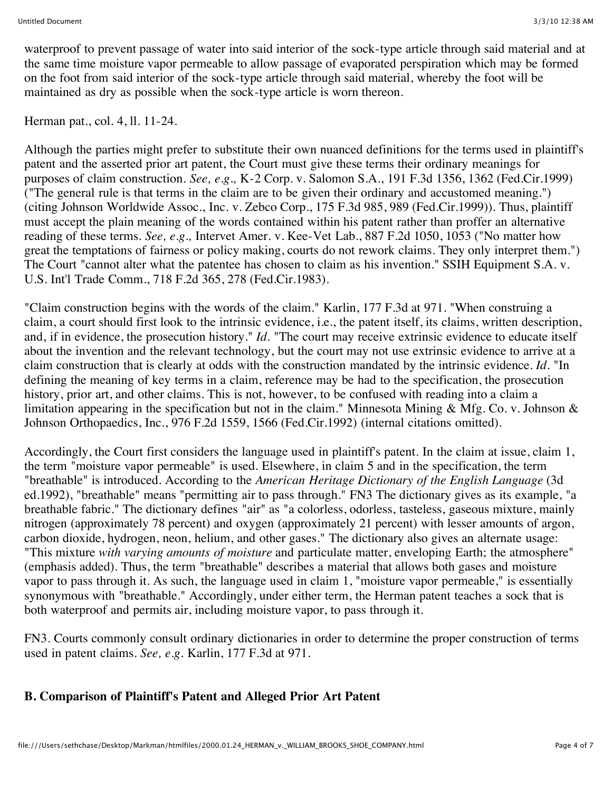waterproof to prevent passage of water into said interior of the sock-type article through said material and at the same time moisture vapor permeable to allow passage of evaporated perspiration which may be formed on the foot from said interior of the sock-type article through said material, whereby the foot will be maintained as dry as possible when the sock-type article is worn thereon.

Herman pat., col. 4, ll. 11-24.

Although the parties might prefer to substitute their own nuanced definitions for the terms used in plaintiff's patent and the asserted prior art patent, the Court must give these terms their ordinary meanings for purposes of claim construction. *See, e.g.,* K-2 Corp. v. Salomon S.A., 191 F.3d 1356, 1362 (Fed.Cir.1999) ("The general rule is that terms in the claim are to be given their ordinary and accustomed meaning.") (citing Johnson Worldwide Assoc., Inc. v. Zebco Corp., 175 F.3d 985, 989 (Fed.Cir.1999)). Thus, plaintiff must accept the plain meaning of the words contained within his patent rather than proffer an alternative reading of these terms. *See, e.g.,* Intervet Amer. v. Kee-Vet Lab., 887 F.2d 1050, 1053 ("No matter how great the temptations of fairness or policy making, courts do not rework claims. They only interpret them.") The Court "cannot alter what the patentee has chosen to claim as his invention." SSIH Equipment S.A. v. U.S. Int'l Trade Comm., 718 F.2d 365, 278 (Fed.Cir.1983).

"Claim construction begins with the words of the claim." Karlin, 177 F.3d at 971. "When construing a claim, a court should first look to the intrinsic evidence, i.e., the patent itself, its claims, written description, and, if in evidence, the prosecution history." *Id.* "The court may receive extrinsic evidence to educate itself about the invention and the relevant technology, but the court may not use extrinsic evidence to arrive at a claim construction that is clearly at odds with the construction mandated by the intrinsic evidence. *Id.* "In defining the meaning of key terms in a claim, reference may be had to the specification, the prosecution history, prior art, and other claims. This is not, however, to be confused with reading into a claim a limitation appearing in the specification but not in the claim." Minnesota Mining & Mfg. Co. v. Johnson & Johnson Orthopaedics, Inc., 976 F.2d 1559, 1566 (Fed.Cir.1992) (internal citations omitted).

Accordingly, the Court first considers the language used in plaintiff's patent. In the claim at issue, claim 1, the term "moisture vapor permeable" is used. Elsewhere, in claim 5 and in the specification, the term "breathable" is introduced. According to the *American Heritage Dictionary of the English Language* (3d ed.1992), "breathable" means "permitting air to pass through." FN3 The dictionary gives as its example, "a breathable fabric." The dictionary defines "air" as "a colorless, odorless, tasteless, gaseous mixture, mainly nitrogen (approximately 78 percent) and oxygen (approximately 21 percent) with lesser amounts of argon, carbon dioxide, hydrogen, neon, helium, and other gases." The dictionary also gives an alternate usage: "This mixture *with varying amounts of moisture* and particulate matter, enveloping Earth; the atmosphere" (emphasis added). Thus, the term "breathable" describes a material that allows both gases and moisture vapor to pass through it. As such, the language used in claim 1, "moisture vapor permeable," is essentially synonymous with "breathable." Accordingly, under either term, the Herman patent teaches a sock that is both waterproof and permits air, including moisture vapor, to pass through it.

FN3. Courts commonly consult ordinary dictionaries in order to determine the proper construction of terms used in patent claims. *See, e.g.* Karlin, 177 F.3d at 971.

## **B. Comparison of Plaintiff's Patent and Alleged Prior Art Patent**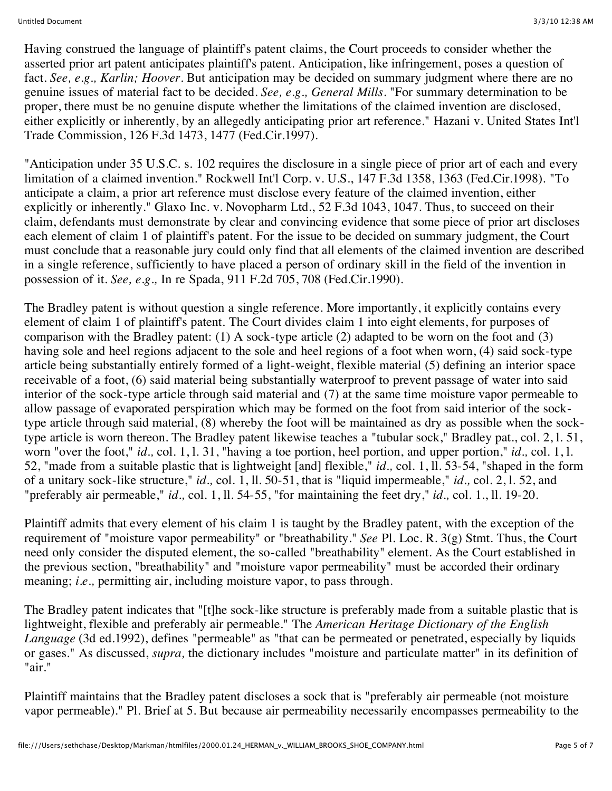Having construed the language of plaintiff's patent claims, the Court proceeds to consider whether the asserted prior art patent anticipates plaintiff's patent. Anticipation, like infringement, poses a question of fact. *See, e.g., Karlin; Hoover.* But anticipation may be decided on summary judgment where there are no genuine issues of material fact to be decided. *See, e.g., General Mills.* "For summary determination to be proper, there must be no genuine dispute whether the limitations of the claimed invention are disclosed, either explicitly or inherently, by an allegedly anticipating prior art reference." Hazani v. United States Int'l Trade Commission, 126 F.3d 1473, 1477 (Fed.Cir.1997).

"Anticipation under 35 U.S.C. s. 102 requires the disclosure in a single piece of prior art of each and every limitation of a claimed invention." Rockwell Int'l Corp. v. U.S., 147 F.3d 1358, 1363 (Fed.Cir.1998). "To anticipate a claim, a prior art reference must disclose every feature of the claimed invention, either explicitly or inherently." Glaxo Inc. v. Novopharm Ltd., 52 F.3d 1043, 1047. Thus, to succeed on their claim, defendants must demonstrate by clear and convincing evidence that some piece of prior art discloses each element of claim 1 of plaintiff's patent. For the issue to be decided on summary judgment, the Court must conclude that a reasonable jury could only find that all elements of the claimed invention are described in a single reference, sufficiently to have placed a person of ordinary skill in the field of the invention in possession of it. *See, e.g.,* In re Spada, 911 F.2d 705, 708 (Fed.Cir.1990).

The Bradley patent is without question a single reference. More importantly, it explicitly contains every element of claim 1 of plaintiff's patent. The Court divides claim 1 into eight elements, for purposes of comparison with the Bradley patent: (1) A sock-type article (2) adapted to be worn on the foot and (3) having sole and heel regions adjacent to the sole and heel regions of a foot when worn, (4) said sock-type article being substantially entirely formed of a light-weight, flexible material (5) defining an interior space receivable of a foot, (6) said material being substantially waterproof to prevent passage of water into said interior of the sock-type article through said material and (7) at the same time moisture vapor permeable to allow passage of evaporated perspiration which may be formed on the foot from said interior of the socktype article through said material, (8) whereby the foot will be maintained as dry as possible when the socktype article is worn thereon. The Bradley patent likewise teaches a "tubular sock," Bradley pat., col. 2, l. 51, worn "over the foot," *id.,* col. 1, l. 31, "having a toe portion, heel portion, and upper portion," *id.,* col. 1, l. 52, "made from a suitable plastic that is lightweight [and] flexible," *id.,* col. 1, ll. 53-54, "shaped in the form of a unitary sock-like structure," *id.,* col. 1, ll. 50-51, that is "liquid impermeable," *id.,* col. 2, l. 52, and "preferably air permeable," *id.,* col. 1, ll. 54-55, "for maintaining the feet dry," *id.,* col. 1., ll. 19-20.

Plaintiff admits that every element of his claim 1 is taught by the Bradley patent, with the exception of the requirement of "moisture vapor permeability" or "breathability." *See* Pl. Loc. R. 3(g) Stmt. Thus, the Court need only consider the disputed element, the so-called "breathability" element. As the Court established in the previous section, "breathability" and "moisture vapor permeability" must be accorded their ordinary meaning; *i.e.,* permitting air, including moisture vapor, to pass through.

The Bradley patent indicates that "[t]he sock-like structure is preferably made from a suitable plastic that is lightweight, flexible and preferably air permeable." The *American Heritage Dictionary of the English Language* (3d ed.1992), defines "permeable" as "that can be permeated or penetrated, especially by liquids or gases." As discussed, *supra,* the dictionary includes "moisture and particulate matter" in its definition of "air."

Plaintiff maintains that the Bradley patent discloses a sock that is "preferably air permeable (not moisture vapor permeable)." Pl. Brief at 5. But because air permeability necessarily encompasses permeability to the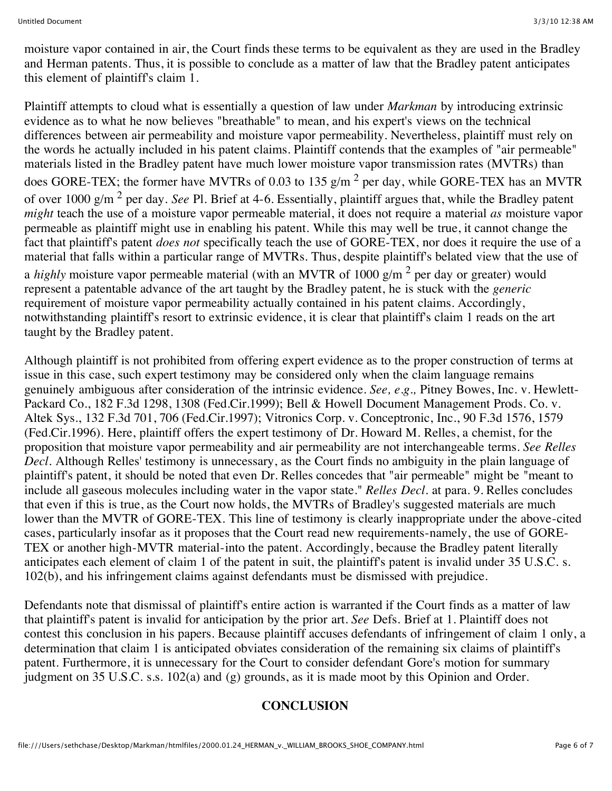moisture vapor contained in air, the Court finds these terms to be equivalent as they are used in the Bradley and Herman patents. Thus, it is possible to conclude as a matter of law that the Bradley patent anticipates this element of plaintiff's claim 1.

Plaintiff attempts to cloud what is essentially a question of law under *Markman* by introducing extrinsic evidence as to what he now believes "breathable" to mean, and his expert's views on the technical differences between air permeability and moisture vapor permeability. Nevertheless, plaintiff must rely on the words he actually included in his patent claims. Plaintiff contends that the examples of "air permeable" materials listed in the Bradley patent have much lower moisture vapor transmission rates (MVTRs) than does GORE-TEX; the former have MVTRs of 0.03 to 135 g/m<sup>2</sup> per day, while GORE-TEX has an MVTR of over 1000 g/m 2 per day. *See* Pl. Brief at 4-6. Essentially, plaintiff argues that, while the Bradley patent *might* teach the use of a moisture vapor permeable material, it does not require a material *as* moisture vapor permeable as plaintiff might use in enabling his patent. While this may well be true, it cannot change the fact that plaintiff's patent *does not* specifically teach the use of GORE-TEX, nor does it require the use of a material that falls within a particular range of MVTRs. Thus, despite plaintiff's belated view that the use of a *highly* moisture vapor permeable material (with an MVTR of 1000 g/m<sup>2</sup> per day or greater) would represent a patentable advance of the art taught by the Bradley patent, he is stuck with the *generic* requirement of moisture vapor permeability actually contained in his patent claims. Accordingly, notwithstanding plaintiff's resort to extrinsic evidence, it is clear that plaintiff's claim 1 reads on the art taught by the Bradley patent.

Although plaintiff is not prohibited from offering expert evidence as to the proper construction of terms at issue in this case, such expert testimony may be considered only when the claim language remains genuinely ambiguous after consideration of the intrinsic evidence. *See, e.g.,* Pitney Bowes, Inc. v. Hewlett-Packard Co., 182 F.3d 1298, 1308 (Fed.Cir.1999); Bell & Howell Document Management Prods. Co. v. Altek Sys., 132 F.3d 701, 706 (Fed.Cir.1997); Vitronics Corp. v. Conceptronic, Inc., 90 F.3d 1576, 1579 (Fed.Cir.1996). Here, plaintiff offers the expert testimony of Dr. Howard M. Relles, a chemist, for the proposition that moisture vapor permeability and air permeability are not interchangeable terms. *See Relles Decl.* Although Relles' testimony is unnecessary, as the Court finds no ambiguity in the plain language of plaintiff's patent, it should be noted that even Dr. Relles concedes that "air permeable" might be "meant to include all gaseous molecules including water in the vapor state." *Relles Decl.* at para. 9. Relles concludes that even if this is true, as the Court now holds, the MVTRs of Bradley's suggested materials are much lower than the MVTR of GORE-TEX. This line of testimony is clearly inappropriate under the above-cited cases, particularly insofar as it proposes that the Court read new requirements-namely, the use of GORE-TEX or another high-MVTR material-into the patent. Accordingly, because the Bradley patent literally anticipates each element of claim 1 of the patent in suit, the plaintiff's patent is invalid under 35 U.S.C. s. 102(b), and his infringement claims against defendants must be dismissed with prejudice.

Defendants note that dismissal of plaintiff's entire action is warranted if the Court finds as a matter of law that plaintiff's patent is invalid for anticipation by the prior art. *See* Defs. Brief at 1. Plaintiff does not contest this conclusion in his papers. Because plaintiff accuses defendants of infringement of claim 1 only, a determination that claim 1 is anticipated obviates consideration of the remaining six claims of plaintiff's patent. Furthermore, it is unnecessary for the Court to consider defendant Gore's motion for summary judgment on 35 U.S.C. s.s. 102(a) and (g) grounds, as it is made moot by this Opinion and Order.

### **CONCLUSION**